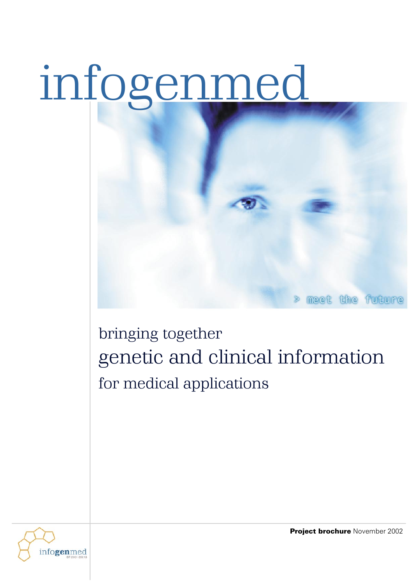# infogenmed





Project brochure November 2002

meet the future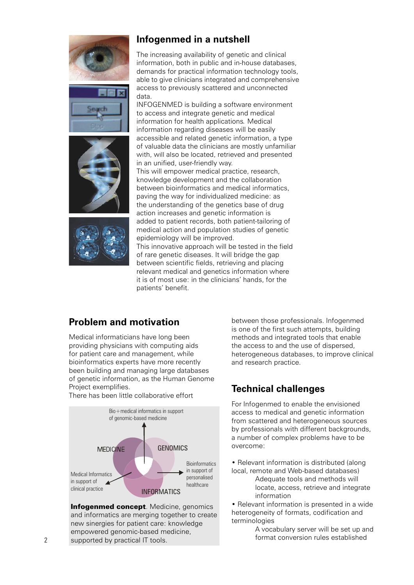







## **Infogenmed in a nutshell**

The increasing availability of genetic and clinical information, both in public and in-house databases, demands for practical information technology tools, able to give clinicians integrated and comprehensive access to previously scattered and unconnected data.

INFOGENMED is building a software environment to access and integrate genetic and medical information for health applications*.* Medical information regarding diseases will be easily accessible and related genetic information, a type of valuable data the clinicians are mostly unfamiliar with, will also be located, retrieved and presented in an unified, user-friendly way. This will empower medical practice, research, knowledge development and the collaboration between bioinformatics and medical informatics, paving the way for individualized medicine: as the understanding of the genetics base of drug action increases and genetic information is added to patient records, both patient-tailoring of medical action and population studies of genetic epidemiology will be improved. This innovative approach will be tested in the field of rare genetic diseases. It will bridge the gap between scientific fields, retrieving and placing relevant medical and genetics information where it is of most use: in the clinicians' hands, for the patients' benefit.

# **Problem and motivation**

Medical informaticians have long been providing physicians with computing aids for patient care and management, while bioinformatics experts have more recently been building and managing large databases of genetic information, as the Human Genome Project exemplifies.

There has been little collaborative effort



Infogenmed concept. Medicine, genomics and informatics are merging together to create new sinergies for patient care: knowledge empowered genomic-based medicine, supported by practical IT tools.

between those professionals. Infogenmed is one of the first such attempts, building methods and integrated tools that enable the access to and the use of dispersed, heterogeneous databases, to improve clinical and research practice.

## **Technical challenges**

For Infogenmed to enable the envisioned access to medical and genetic information from scattered and heterogeneous sources by professionals with different backgrounds, a number of complex problems have to be overcome:

• Relevant information is distributed (along local, remote and Web-based databases)

Adequate tools and methods will locate, access, retrieve and integrate information

• Relevant information is presented in a wide heterogeneity of formats, codification and terminologies

A vocabulary server will be set up and format conversion rules established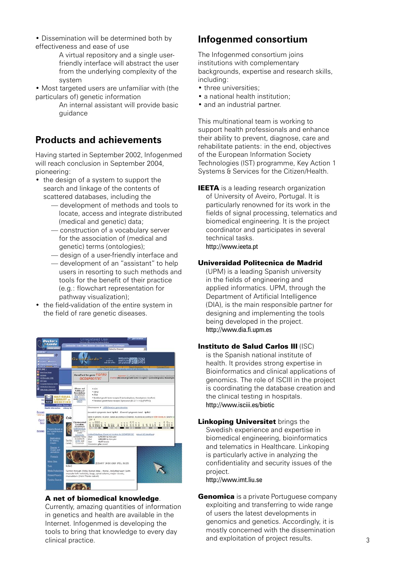- Dissemination will be determined both by effectiveness and ease of use
	- A virtual repository and a single userfriendly interface will abstract the user from the underlying complexity of the system
- Most targeted users are unfamiliar with (the particulars of) genetic information
	- An internal assistant will provide basic guidance

## **Products and achievements**

Having started in September 2002, Infogenmed will reach conclusion in September 2004, pioneering:

- the design of a system to support the search and linkage of the contents of scattered databases, including the
	- development of methods and tools to locate, access and integrate distributed (medical and genetic) data;
	- construction of a vocabulary server for the association of (medical and genetic) terms (ontologies);
	- design of a user-friendly interface and
	- development of an "assistant" to help users in resorting to such methods and tools for the benefit of their practice (e.g.: flowchart representation for pathway visualization);
- the field-validation of the entire system in the field of rare genetic diseases.



A net of biomedical knowledge.

Currently, amazing quantities of information in genetics and health are available in the Internet. Infogenmed is developing the tools to bring that knowledge to every day clinical practice.

## **Infogenmed consortium**

The Infogenmed consortium joins institutions with complementary backgrounds, expertise and research skills, including:

- three universities;
- a national health institution;
- and an industrial partner.

This multinational team is working to support health professionals and enhance their ability to prevent, diagnose, care and rehabilitate patients: in the end, objectives of the European Information Society Technologies (IST) programme, Key Action 1 Systems & Services for the Citizen/Health.

**IEETA** is a leading research organization of University of Aveiro, Portugal. It is particularly renowned for its work in the fields of signal processing, telematics and biomedical engineering. It is the project coordinator and participates in several technical tasks. http://www.ieeta.pt

#### Universidad Politecnica de Madrid

(UPM) is a leading Spanish university in the fields of engineering and applied informatics. UPM, through the Department of Artificial Intelligence (DIA), is the main responsible partner for designing and implementing the tools being developed in the project. http://www.dia.fi.upm.es

#### Instituto de Salud Carlos III (ISC)

is the Spanish national institute of health. It provides strong expertise in Bioinformatics and clinical applications of genomics. The role of ISCIII in the project is coordinating the database creation and the clinical testing in hospitals. http://www.isciii.es/biotic

**Linkoping Universitet brings the** 

Swedish experience and expertise in biomedical engineering, bioinformatics and telematics in Healthcare. Linkoping is particularly active in analyzing the confidentiality and security issues of the project.

http://www.imt.liu.se

**Genomica** is a private Portuguese company exploiting and transferring to wide range of users the latest developments in genomics and genetics. Accordingly, it is mostly concerned with the dissemination and exploitation of project results.